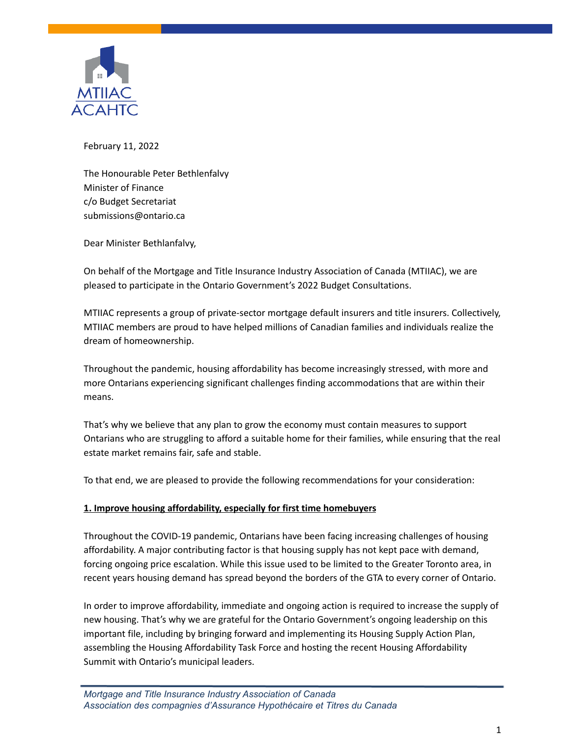

February 11, 2022

The Honourable Peter Bethlenfalvy Minister of Finance c/o Budget Secretariat submissions@ontario.ca

Dear Minister Bethlanfalvy,

On behalf of the Mortgage and Title Insurance Industry Association of Canada (MTIIAC), we are pleased to participate in the Ontario Government's 2022 Budget Consultations.

MTIIAC represents a group of private-sector mortgage default insurers and title insurers. Collectively, MTIIAC members are proud to have helped millions of Canadian families and individuals realize the dream of homeownership.

Throughout the pandemic, housing affordability has become increasingly stressed, with more and more Ontarians experiencing significant challenges finding accommodations that are within their means.

That's why we believe that any plan to grow the economy must contain measures to support Ontarians who are struggling to afford a suitable home for their families, while ensuring that the real estate market remains fair, safe and stable.

To that end, we are pleased to provide the following recommendations for your consideration:

## **1. Improve housing affordability, especially for first time homebuyers**

Throughout the COVID-19 pandemic, Ontarians have been facing increasing challenges of housing affordability. A major contributing factor is that housing supply has not kept pace with demand, forcing ongoing price escalation. While this issue used to be limited to the Greater Toronto area, in recent years housing demand has spread beyond the borders of the GTA to every corner of Ontario.

In order to improve affordability, immediate and ongoing action is required to increase the supply of new housing. That's why we are grateful for the Ontario Government's ongoing leadership on this important file, including by bringing forward and implementing its Housing Supply Action Plan, assembling the Housing Affordability Task Force and hosting the recent Housing Affordability Summit with Ontario's municipal leaders.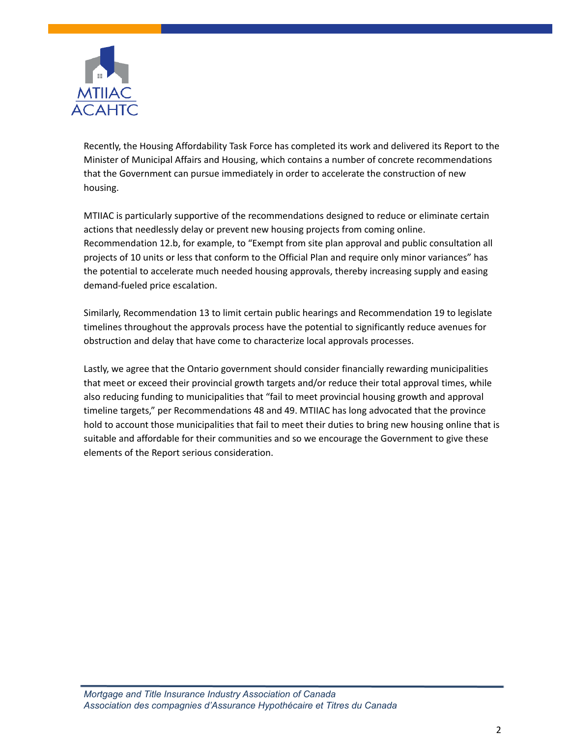

Recently, the Housing Affordability Task Force has completed its work and delivered its Report to the Minister of Municipal Affairs and Housing, which contains a number of concrete recommendations that the Government can pursue immediately in order to accelerate the construction of new housing.

MTIIAC is particularly supportive of the recommendations designed to reduce or eliminate certain actions that needlessly delay or prevent new housing projects from coming online. Recommendation 12.b, for example, to "Exempt from site plan approval and public consultation all projects of 10 units or less that conform to the Official Plan and require only minor variances" has the potential to accelerate much needed housing approvals, thereby increasing supply and easing demand-fueled price escalation.

Similarly, Recommendation 13 to limit certain public hearings and Recommendation 19 to legislate timelines throughout the approvals process have the potential to significantly reduce avenues for obstruction and delay that have come to characterize local approvals processes.

Lastly, we agree that the Ontario government should consider financially rewarding municipalities that meet or exceed their provincial growth targets and/or reduce their total approval times, while also reducing funding to municipalities that "fail to meet provincial housing growth and approval timeline targets," per Recommendations 48 and 49. MTIIAC has long advocated that the province hold to account those municipalities that fail to meet their duties to bring new housing online that is suitable and affordable for their communities and so we encourage the Government to give these elements of the Report serious consideration.